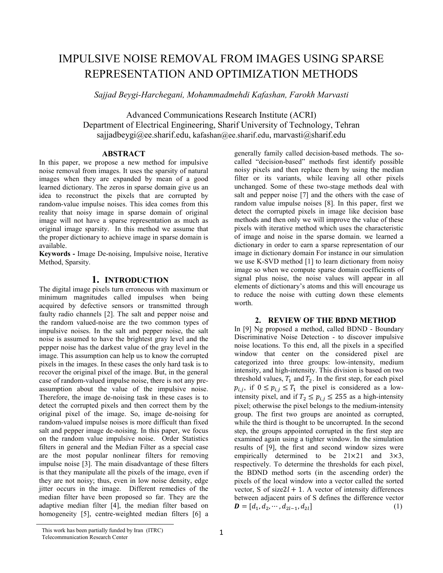# IMPULSIVE NOISE REMOVAL FROM IMAGES USING SPARSE REPRESENTATION AND OPTIMIZATION METHODS

*Sajjad Beygi-Harchegani, Mohammadmehdi Kafashan, Farokh Marvasti* 

Advanced Communications Research Institute (ACRI) Department of Electrical Engineering, Sharif University of Technology, Tehran sajjadbeygi@ee.sharif.edu, kafashan@ee.sharif.edu, marvasti@sharif.edu

#### **ABSTRACT**

In this paper, we propose a new method for impulsive noise removal from images. It uses the sparsity of natural images when they are expanded by mean of a good learned dictionary. The zeros in sparse domain give us an idea to reconstruct the pixels that are corrupted by random-value impulse noises. This idea comes from this reality that noisy image in sparse domain of original image will not have a sparse representation as much as original image sparsity. In this method we assume that the proper dictionary to achieve image in sparse domain is available.

**Keywords -** Image De-noising, Impulsive noise, Iterative Method, Sparsity.

# **1. INTRODUCTION**

The digital image pixels turn erroneous with maximum or minimum magnitudes called impulses when being acquired by defective sensors or transmitted through faulty radio channels [2]. The salt and pepper noise and the random valued-noise are the two common types of impulsive noises. In the salt and pepper noise, the salt noise is assumed to have the brightest gray level and the pepper noise has the darkest value of the gray level in the image. This assumption can help us to know the corrupted pixels in the images. In these cases the only hard task is to recover the original pixel of the image. But, in the general case of random-valued impulse noise, there is not any preassumption about the value of the impulsive noise. Therefore, the image de-noising task in these cases is to detect the corrupted pixels and then correct them by the original pixel of the image. So, image de-noising for random-valued impulse noises is more difficult than fixed salt and pepper image de-noising. In this paper, we focus on the random value impulsive noise. Order Statistics filters in general and the Median Filter as a special case are the most popular nonlinear filters for removing impulse noise [3]. The main disadvantage of these filters is that they manipulate all the pixels of the image, even if they are not noisy; thus, even in low noise density, edge jitter occurs in the image. Different remedies of the median filter have been proposed so far. They are the adaptive median filter [4], the median filter based on homogeneity [5], centre-weighted median filters [6] a

generally family called decision-based methods. The socalled "decision-based" methods first identify possible noisy pixels and then replace them by using the median filter or its variants, while leaving all other pixels unchanged. Some of these two-stage methods deal with salt and pepper noise [7] and the others with the case of random value impulse noises [8]. In this paper, first we detect the corrupted pixels in image like decision base methods and then only we will improve the value of these pixels with iterative method which uses the characteristic of image and noise in the sparse domain. we learned a dictionary in order to earn a sparse representation of our image in dictionary domain For instance in our simulation we use K-SVD method [1] to learn dictionary from noisy image so when we compute sparse domain coefficients of signal plus noise, the noise values will appear in all elements of dictionary's atoms and this will encourage us to reduce the noise with cutting down these elements worth.

#### **2. REVIEW OF THE BDND METHOD**

In [9] Ng proposed a method, called BDND - Boundary Discriminative Noise Detection - to discover impulsive noise locations. To this end, all the pixels in a specified window that center on the considered pixel are categorized into three groups: low-intensity, medium intensity, and high-intensity. This division is based on two threshold values,  $T_1$  and  $T_2$ . In the first step, for each pixel  $p_{i,j}$ , if  $0 \leq p_{i,j} \leq T_1$  the pixel is considered as a lowintensity pixel, and if  $T_2 \leq p_{i,j} \leq 255$  as a high-intensity pixel; otherwise the pixel belongs to the medium-intensity group. The first two groups are anointed as corrupted, while the third is thought to be uncorrupted. In the second step, the groups appointed corrupted in the first step are examined again using a tighter window. In the simulation results of [9], the first and second window sizes were empirically determined to be  $21 \times 21$  and  $3 \times 3$ , respectively. To determine the thresholds for each pixel, the BDND method sorts (in the ascending order) the pixels of the local window into a vector called the sorted vector, S of size $2l + 1$ . A vector of intensity differences between adjacent pairs of S defines the difference vector  $\mathbf{D} = [d_1, d_2, \cdots, d_{2l-1}, d_{2l}]$  (1)

This work has been partially funded by Iran (ITRC) Telecommunication Research Center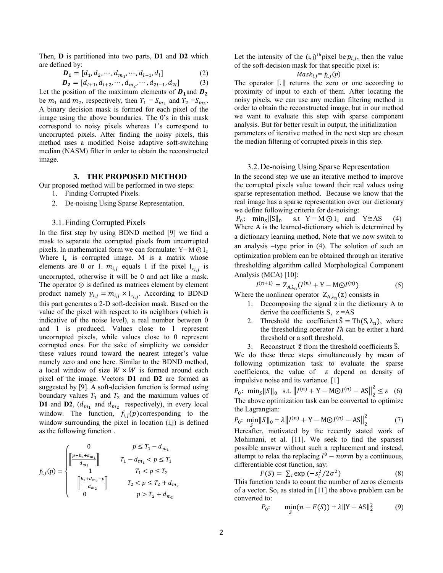Then, **D** is partitioned into two parts, **D1** and **D2** which are defined by:

$$
\mathbf{D_1} = [d_1, d_2, \cdots, d_{m_1}, \cdots, d_{l-1}, d_l]
$$
 (2)

$$
\boldsymbol{D}_2 = [d_{l+1}, d_{l+2}, \cdots, d_{m_2}, \cdots, d_{2l-1}, d_{2l}] \tag{3}
$$

Let the position of the maximum elements of  $D_1$  and  $D_2$ be  $m_1$  and  $m_2$ , respectively, then  $T_1 = S_{m_1}$  and  $T_2 = S_{m_2}$ . A binary decision mask is formed for each pixel of the image using the above boundaries. The 0's in this mask correspond to noisy pixels whereas 1's correspond to uncorrupted pixels. After finding the noisy pixels, this method uses a modified Noise adaptive soft-switching median (NASM) filter in order to obtain the reconstructed image.

# **3. THE PROPOSED METHOD**

Our proposed method will be performed in two steps:

- 1. Finding Corrupted Pixels.
- 2. De-noising Using Sparse Representation.

#### 3.1.Finding Corrupted Pixels

In the first step by using BDND method [9] we find a mask to separate the corrupted pixels from uncorrupted pixels. In mathematical form we can formulate:  $Y = M \odot I_c$ Where  $I_c$  is corrupted image. M is a matrix whose elements are 0 or 1.  $m_{i,j}$  equals 1 if the pixel  $I_{ci,j}$  is uncorrupted, otherwise it will be 0 and act like a mask. The operator  $\odot$  is defined as matrices element by element product namely  $y_{i,j} = m_{i,j} \times I_{c_{i,j}}$ . According to BDND this part generates a 2-D soft-decision mask. Based on the value of the pixel with respect to its neighbors (which is indicative of the noise level), a real number between 0 and 1 is produced. Values close to 1 represent uncorrupted pixels, while values close to 0 represent corrupted ones. For the sake of simplicity we consider these values round toward the nearest integer's value namely zero and one here. Similar to the BDND method, a local window of size  $W \times W$  is formed around each pixel of the image. Vectors **D1** and **D2** are formed as suggested by [9]. A soft-decision function is formed using boundary values  $T_1$  and  $T_2$  and the maximum values of **D1** and **D2**,  $(d_{m_1}$  and  $d_{m_2}$  respectively), in every local window. The function,  $f_{i,j}(p)$  corresponding to the window surrounding the pixel in location  $(i,j)$  is defined as the following function .

$$
f_{i,j}(p) = \begin{cases} 0 & p \leq T_1 - d_{m_1} \\ \begin{bmatrix} \frac{p - b_1 + d_{m_1}}{d_{m_1}} \end{bmatrix} & T_1 - d_{m_1} < p \leq T_1 \\ 1 & T_1 < p \leq T_2 \\ \begin{bmatrix} \frac{b_2 + d_{m_2} - p}{d_{m_2}} \end{bmatrix} & T_2 < p \leq T_2 + d_{m_2} \\ 0 & p > T_2 + d_{m_2} \end{cases}
$$

Let the intensity of the  $(i, j)$ <sup>th</sup> pixel be  $p_{i,j}$ , then the value of the soft-decision mask for that specific pixel is:

# $Mask_{i,j} = f_{i,j}(p)$

The operator  $\llbracket \cdot \rrbracket$  returns the zero or one according to proximity of input to each of them. After locating the noisy pixels, we can use any median filtering method in order to obtain the reconstructed image, but in our method we want to evaluate this step with sparse component analysis. But for better result in output, the initialization parameters of iterative method in the next step are chosen the median filtering of corrupted pixels in this step.

# 3.2.De-noising Using Sparse Representation

In the second step we use an iterative method to improve the corrupted pixels value toward their real values using sparse representation method. Because we know that the real image has a sparse representation over our dictionary we define following criteria for de-noising:

 $P_0$ : min<sub>s</sub> $\|\mathbf{S}\|_0$  s.t Y = M  $\odot$  I<sub>c</sub> and Y \geq AS (4) Where A is the learned-dictionary which is determined by a dictionary learning method, Note that we now switch to an analysis –type prior in (4). The solution of such an optimization problem can be obtained through an iterative thresholding algorithm called Morphological Component Analysis (MCA) [10]:

$$
I^{(n+1)} = Z_{A,\lambda_n}(I^{(n)} + Y - MOI^{(n)})
$$
 (5)

Where the nonlinear operator  $Z_{A,\lambda_n}(z)$  consists in

- 1. Decomposing the signal z in the dictionary A to derive the coefficients  $S$ ,  $z = AS$
- 2. Threshold the coefficient  $\hat{S} = \text{Th}(S, \lambda_n)$ , where the thresholding operator *Th* can be either a hard threshold or a soft threshold.
- 3. Reconstruct  $\hat{z}$  from the threshold coefficients  $\hat{S}$ .

We do these three steps simultaneously by mean of following optimization task to evaluate the sparse coefficients, the value of  $\varepsilon$  depend on density of impulsive noise and its variance. [1]

 $P_0$ : min<sub>s</sub> $\|S\|_0$  s.t.  $\|I^{(n)} + Y - MOI^{(n)} - AS\|_2^2 \le \varepsilon$  (6) The above optimization task can be converted to optimize the Lagrangian:

$$
P_0: \ \min_{S} ||S||_0 + \lambda ||I^{(n)} + Y - M\odot I^{(n)} - AS||_2^2 \tag{7}
$$

Hereafter, motivated by the recently stated work of Mohimani, et al. [11]. We seek to find the sparsest possible answer without such a replacement and instead, attempt to relax the replacing  $l^0$  – norm by a continuous, differentiable cost function, say:

$$
F(S) = \sum_{i} \exp(-s_i^2/2\sigma^2)
$$
 (8)

This function tends to count the number of zeros elements of a vector. So, as stated in [11] the above problem can be converted to:

$$
P_0: \qquad \min_{S} (n - F(S)) + \lambda \|Y - AS\|_2^2 \tag{9}
$$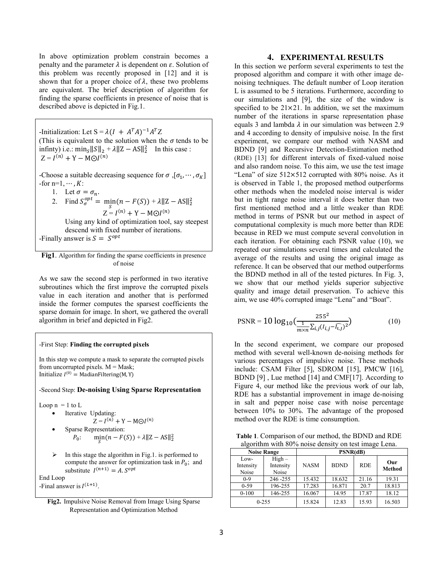In above optimization problem constrain becomes a penalty and the parameter  $\lambda$  is dependent on  $\varepsilon$ . Solution of this problem was recently proposed in [12] and it is shown that for a proper choice of  $\lambda$ , these two problems are equivalent. The brief description of algorithm for finding the sparse coefficients in presence of noise that is described above is depicted in Fig.1.

-Initialization: Let  $S = \lambda (I + A^{T}A)^{-1}A^{T}Z$ (This is equivalent to the solution when the  $\sigma$  tends to be infinty) i.e.:  $\min_{S} ||S||_2 + \lambda ||Z - AS||_2^2$  In this case :  $Z = I^{(n)} + Y - MOI^{(n)}$ 

-Choose a suitable decreasing sequence for  $\sigma$ ,  $[\sigma_1, \cdots, \sigma_K]$ -for n=1,  $\cdots$ , K:

1. Let 
$$
\sigma = \sigma_n
$$
.

2. Find 
$$
S_{\sigma}^{opt}
$$
 =  $\min_{S} (n - F(S)) + \lambda ||Z - AS||_2^2$   
  $Z = I^{(n)} + Y - MOI^{(n)}$ 

Using any kind of optimization tool, say steepest descend with fixed number of iterations.

-Finally answer is  $S = S^{opt}$ 

#### **Fig1**. Algorithm for finding the sparse coefficients in presence of noise

As we saw the second step is performed in two iterative subroutines which the first improve the corrupted pixels value in each iteration and another that is performed inside the former computes the sparsest coefficients the sparse domain for image. In short, we gathered the overall algorithm in brief and depicted in Fig2.

#### -First Step: **Finding the corrupted pixels**

In this step we compute a mask to separate the corrupted pixels from uncorrupted pixels.  $M = Mask$ ; Initialize  $I^{(0)} = \text{MadianFiltering}(M, Y)$ 

# -Second Step: **De-noising Using Sparse Representation**

Loop  $n = 1$  to  $L$ 

- Iterative Updating:
- $Z = I^{(n)} + Y MOI^{(n)}$
- Sparse Representation:  $P_0: \quad \min_{S} (n - F(S)) + \lambda ||Z - AS||_2^2$
- In this stage the algorithm in Fig.1. is performed to compute the answer for optimization task in  $P_0$ ; and substitute  $I^{(n+1)} = A$ .  $S^{opt}$

End Loop -Final answer is  $I^{(L+1)}$ .



#### **4. EXPERIMENTAL RESULTS**

In this section we perform several experiments to test the proposed algorithm and compare it with other image denoising techniques. The default number of Loop iteration L is assumed to be 5 iterations. Furthermore, according to our simulations and [9], the size of the window is specified to be  $21 \times 21$ . In addition, we set the maximum number of the iterations in sparse representation phase equals 3 and lambda  $\lambda$  in our simulation was between 2.9 and 4 according to density of impulsive noise. In the first experiment, we compare our method with NASM and BDND [9] and Recursive Detection-Estimation method (RDE) [13] for different intervals of fixed-valued noise and also random noise. To this aim, we use the test image "Lena" of size  $512\times512$  corrupted with 80% noise. As it is observed in Table 1, the proposed method outperforms other methods when the modeled noise interval is wider but in tight range noise interval it does better than two first mentioned method and a little weaker than RDE method in terms of PSNR but our method in aspect of computational complexity is much more better than RDE because in RED we must compute several convolution in each iteration. For obtaining each PSNR value (10), we repeated our simulations several times and calculated the average of the results and using the original image as reference. It can be observed that our method outperforms the BDND method in all of the tested pictures. In Fig. 3, we show that our method yields superior subjective quality and image detail preservation. To achieve this aim, we use 40% corrupted image "Lena" and "Boat".

$$
PSNR = 10 \log_{10} \left( \frac{255^2}{\frac{1}{m \times n} \sum_{i,j} (I_{i,j} - \widehat{I_{i,j}})^2} \right) \tag{10}
$$

In the second experiment, we compare our proposed method with several well-known de-noising methods for various percentages of impulsive noise. These methods include: CSAM Filter [5], SDROM [15], PMCW [16], BDND [9] , Lue method [14] and CMF[17]. According to Figure 4, our method like the previous work of our lab, RDE has a substantial improvement in image de-noising in salt and pepper noise case with noise percentage between 10% to 30%. The advantage of the proposed method over the RDE is time consumption.

**Table 1**. Comparison of our method, the BDND and RDE algorithm with 80% noise density on test image Lena.

| <b>Noise Range</b>         |                                | PSNR(dB)    |             |            |                      |
|----------------------------|--------------------------------|-------------|-------------|------------|----------------------|
| Low-<br>Intensity<br>Noise | $High -$<br>Intensity<br>Noise | <b>NASM</b> | <b>BDND</b> | <b>RDE</b> | Our<br><b>Method</b> |
| $0 - 9$                    | 246-255                        | 15.432      | 18.632      | 21.16      | 19.31                |
| $0-59$                     | 196-255                        | 17.283      | 16.871      | 20.7       | 18.813               |
| $0 - 100$                  | 146-255                        | 16.067      | 14.95       | 17.87      | 18.12                |
| $0 - 255$                  |                                | 15.824      | 12.83       | 15.93      | 16.503               |